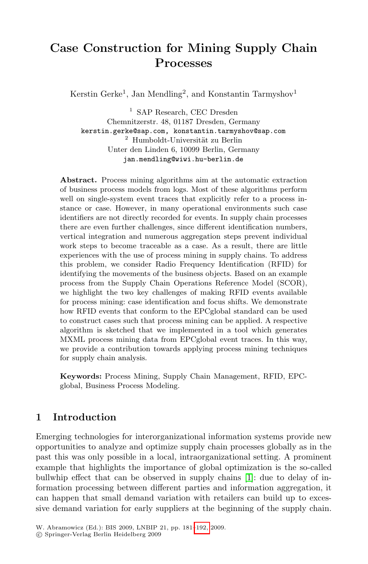# **Case Construction for Mining Supply Chain Processes**

Kerstin Gerke<sup>1</sup>, Jan Mendling<sup>2</sup>, and Konstantin Tarmyshov<sup>1</sup>

<sup>1</sup> SAP Research, CEC Dresden Chemnitzerstr. 48, 01187 Dresden, Germany kerstin.gerke@sap.com, konstantin.tarmyshov@sap.com  $2$  Humboldt-Universität zu Berlin Unter den Linden 6, 10099 Berlin, Germany jan.mendling@wiwi.hu-berlin.de

**Abstract.** Process mining algorithms aim at the automatic extraction of business process models from logs. Most of these algorithms perform well on single-system event traces that explicitly refer to a process instance or case. However, in many operational environments such case identifiers are not directly recorded for events. In supply chain processes there are even further challenges, since different identification numbers, vertical integration and numerous aggregation steps prevent individual work steps to become traceable as a case. As a result, there are little experiences with the use of process mining in supply chains. To address this problem, we consider Radio Frequency Identification (RFID) for identifying the movements of the business objects. Based on an example process from the Supply Chain Operations Reference Model (SCOR), we highlight the two key challenges of making RFID events available for process mining: case identification and focus shifts. We demonstrate how RFID events that conform to the EPCglobal standard can be used to construct cases such that process mining can be applied. A respective algorithm is sketched that we implemented in a tool which generates MXML process mining data from EPCglobal event traces. In this way, we provide a contribution towards applying process mining techniques for supply chain analysis.

**Keywords:** Process Mining, Supply Chain Management, RFID, EPCglobal, Business Process Modeling.

### **1 Introduction**

Emerging technologies for interorganizational information systems provide new opportunities to analyze and optimize supply chain processes globally as in the past this was only possible in a local, intraorganizational setting. A prominent example that highlights the importance of global optimization is the so-called bullwhip effect that can be observed in supply chains [\[1\]](#page-10-0): due to delay of information processing between different parties and information aggregation, it can happen that small demand variation with retailers can build up to excessive demand variation for early suppliers at the beginning of the supply chain.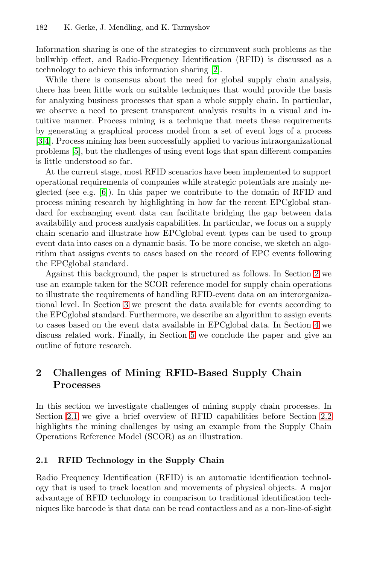Information sharing is one of the strategies to circumvent such problems as the bullwhip effect, and Radio-Frequency Identification (RFID) is discussed as a technology to achieve this information sharing [\[2\]](#page-10-1).

While there is consensus about the need for global supply chain analysis, there has been little work on suitable techniques that would provide the basis for analyzing business processes that span a whole supply chain. In particular, we observe a need to present transparent analysis results in a visual and intuitive manner. Process mining is a technique that meets these requirements by generating a graphical process model from a set of event logs of a process [\[3,](#page-10-2)[4\]](#page-10-3). Process mining has been successfully applied to various intraorganizational problems [\[5\]](#page-10-4), but the challenges of using event logs that span different companies is little understood so far.

At the current stage, most RFID scenarios have been implemented to support operational requirements of companies while strategic potentials are mainly neglected (see e.g. [\[6\]](#page-10-5)). In this paper we contribute to the domain of RFID and process mining research by highlighting in how far the recent EPCglobal standard for exchanging event data can facilitate bridging the gap between data availability and process analysis capabilities. In particular, we focus on a supply chain scenario and illustrate how EPCglobal event types can be used to group event data into cases on a dynamic basis. To be more concise, we sketch an algorithm that assigns events to cases based on the record of EPC events following the EPCglobal standard.

Against this background, the paper is structured as follows. In Section [2](#page-1-0) we use an example taken for the SCOR reference model for supply chain operations to illustrate the requirements of handling RFID-event data on an interorganizational level. In Section [3](#page-4-0) we present the data available for events according to the EPCglobal standard. Furthermore, we describe an algorithm to assign events to cases based on the event data available in EPCglobal data. In Section [4](#page-9-0) we discuss related work. Finally, in Section [5](#page-9-1) we conclude the paper and give an outline of future research.

### <span id="page-1-0"></span>**2 Challenges of Mining RFID-Based Supply Chain Processes**

In this section we investigate challenges of mining supply chain processes. In Section [2.1](#page-1-1) we give a brief overview of RFID capabilities before Section [2.2](#page-2-0) highlights the mining challenges by using an example from the Supply Chain Operations Reference Model (SCOR) as an illustration.

#### <span id="page-1-1"></span>**2.1 RFID Technology in the Supply Chain**

Radio Frequency Identification (RFID) is an automatic identification technology that is used to track location and movements of physical objects. A major advantage of RFID technology in comparison to traditional identification techniques like barcode is that data can be read contactless and as a non-line-of-sight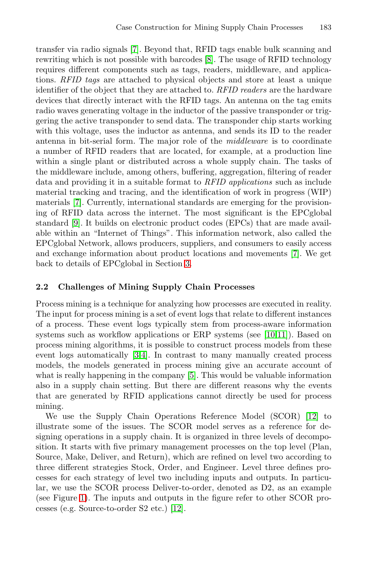transfer via radio signals [\[7\]](#page-10-6). Beyond that, RFID tags enable bulk scanning and rewriting which is not possible with barcodes [\[8\]](#page-10-7). The usage of RFID technology requires different components such as tags, readers, middleware, and applications. *RFID tags* are attached to physical objects and store at least a unique identifier of the object that they are attached to. *RFID readers* are the hardware devices that directly interact with the RFID tags. An antenna on the tag emits radio waves generating voltage in the inductor of the passive transponder or triggering the active transponder to send data. The transponder chip starts working with this voltage, uses the inductor as antenna, and sends its ID to the reader antenna in bit-serial form. The major role of the *middleware* is to coordinate a number of RFID readers that are located, for example, at a production line within a single plant or distributed across a whole supply chain. The tasks of the middleware include, among others, buffering, aggregation, filtering of reader data and providing it in a suitable format to *RFID applications* such as include material tracking and tracing, and the identification of work in progress (WIP) materials [\[7\]](#page-10-6). Currently, international standards are emerging for the provisioning of RFID data across the internet. The most significant is the EPCglobal standard [\[9\]](#page-10-8). It builds on electronic product codes (EPCs) that are made available within an "Internet of Things". This information network, also called the EPCglobal Network, allows producers, suppliers, and consumers to easily access and exchange information about product locations and movements [\[7\]](#page-10-6). We get back to details of EPCglobal in Section [3.](#page-4-0)

#### <span id="page-2-0"></span>**2.2 Challenges of Mining Supply Chain Processes**

Process mining is a technique for analyzing how processes are executed in reality. The input for process mining is a set of event logs that relate to different instances of a process. These event logs typically stem from process-aware information systems such as workflow applications or ERP systems (see [\[10](#page-10-9)[,11\]](#page-11-1)). Based on process mining algorithms, it is possible to construct process models from these event logs automatically [\[3](#page-10-2)[,4\]](#page-10-3). In contrast to many manually created process models, the models generated in process mining give an accurate account of what is really happening in the company [\[5\]](#page-10-4). This would be valuable information also in a supply chain setting. But there are different reasons why the events that are generated by RFID applications cannot directly be used for process mining.

We use the Supply Chain Operations Reference Model (SCOR) [\[12\]](#page-11-2) to illustrate some of the issues. The SCOR model serves as a reference for designing operations in a supply chain. It is organized in three levels of decomposition. It starts with five primary management processes on the top level (Plan, Source, Make, Deliver, and Return), which are refined on level two according to three different strategies Stock, Order, and Engineer. Level three defines processes for each strategy of level two including inputs and outputs. In particular, we use the SCOR process Deliver-to-order, denoted as D2, as an example (see Figure [1\)](#page-3-0). The inputs and outputs in the figure refer to other SCOR processes (e.g. Source-to-order S2 etc.) [\[12\]](#page-11-2).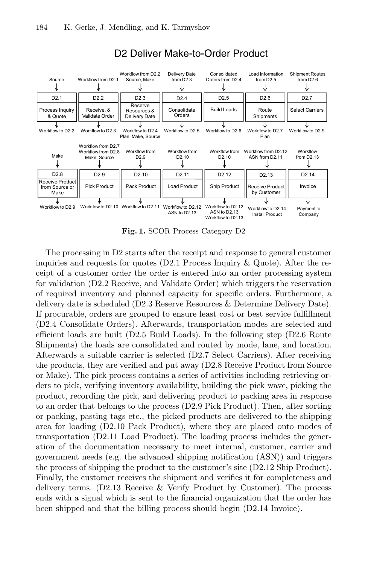

## D2 Deliver Make-to-Order Product

<span id="page-3-0"></span>**Fig. 1.** SCOR Process Category D2

The processing in D2 starts after the receipt and response to general customer inquiries and requests for quotes  $(D2.1)$  Process Inquiry & Quote). After the receipt of a customer order the order is entered into an order processing system for validation (D2.2 Receive, and Validate Order) which triggers the reservation of required inventory and planned capacity for specific orders. Furthermore, a delivery date is scheduled (D2.3 Reserve Resources & Determine Delivery Date). If procurable, orders are grouped to ensure least cost or best service fulfillment (D2.4 Consolidate Orders). Afterwards, transportation modes are selected and efficient loads are built (D2.5 Build Loads). In the following step (D2.6 Route Shipments) the loads are consolidated and routed by mode, lane, and location. Afterwards a suitable carrier is selected (D2.7 Select Carriers). After receiving the products, they are verified and put away (D2.8 Receive Product from Source or Make). The pick process contains a series of activities including retrieving orders to pick, verifying inventory availability, building the pick wave, picking the product, recording the pick, and delivering product to packing area in response to an order that belongs to the process (D2.9 Pick Product). Then, after sorting or packing, pasting tags etc., the picked products are delivered to the shipping area for loading (D2.10 Pack Product), where they are placed onto modes of transportation (D2.11 Load Product). The loading process includes the generation of the documentation necessary to meet internal, customer, carrier and government needs (e.g. the advanced shipping notification (ASN)) and triggers the process of shipping the product to the customer's site (D2.12 Ship Product). Finally, the customer receives the shipment and verifies it for completeness and delivery terms. (D2.13 Receive & Verify Product by Customer). The process ends with a signal which is sent to the financial organization that the order has been shipped and that the billing process should begin (D2.14 Invoice).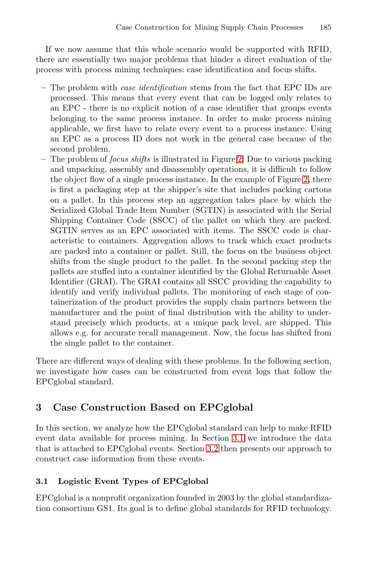If we now assume that this whole scenario would be supported with RFID, there are essentially two major problems that hinder a direct evaluation of the process with process mining techniques: case identification and focus shifts.

- **–** The problem with *case identification* stems from the fact that EPC IDs are processed. This means that every event that can be logged only relates to an EPC - there is no explicit notion of a case identifier that groups events belonging to the same process instance. In order to make process mining applicable, we first have to relate every event to a process instance. Using an EPC as a process ID does not work in the general case because of the second problem.
- **–** The problem of *focus shifts* is illustrated in Figure [2.](#page-5-0) Due to various packing and unpacking, assembly and disassembly operations, it is difficult to follow the object flow of a single process instance. In the example of Figure [2,](#page-5-0) there is first a packaging step at the shipper's site that includes packing cartons on a pallet. In this process step an aggregation takes place by which the Serialized Global Trade Item Number (SGTIN) is associated with the Serial Shipping Container Code (SSCC) of the pallet on which they are packed. SGTIN serves as an EPC associated with items. The SSCC code is characteristic to containers. Aggregation allows to track which exact products are packed into a container or pallet. Still, the focus on the business object shifts from the single product to the pallet. In the second packing step the pallets are stuffed into a container identified by the Global Returnable Asset Identifier (GRAI). The GRAI contains all SSCC providing the capability to identify and verify individual pallets. The monitoring of each stage of containerization of the product provides the supply chain partners between the manufacturer and the point of final distribution with the ability to understand precisely which products, at a unique pack level, are shipped. This allows e.g. for accurate recall management. Now, the focus has shifted from the single pallet to the container.

There are different ways of dealing with these problems. In the following section, we investigate how cases can be constructed from event logs that follow the EPCglobal standard.

# <span id="page-4-0"></span>**3 Case Construction Based on EPCglobal**

In this section, we analyze how the EPCglobal standard can help to make RFID event data available for process mining. In Section [3.1](#page-4-1) we introduce the data that is attached to EPCglobal events. Section [3.2](#page-7-0) then presents our approach to construct case information from these events.

### <span id="page-4-1"></span>**3.1 Logistic Event Types of EPCglobal**

EPCglobal is a nonprofit organization founded in 2003 by the global standardization consortium GS1. Its goal is to define global standards for RFID technology.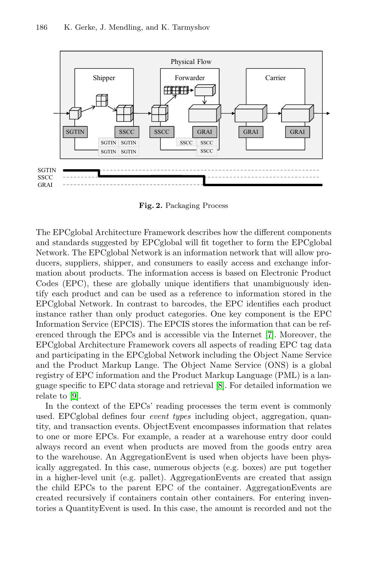

<span id="page-5-0"></span>**Fig. 2.** Packaging Process

The EPCglobal Architecture Framework describes how the different components and standards suggested by EPCglobal will fit together to form the EPCglobal Network. The EPCglobal Network is an information network that will allow producers, suppliers, shipper, and consumers to easily access and exchange information about products. The information access is based on Electronic Product Codes (EPC), these are globally unique identifiers that unambiguously identify each product and can be used as a reference to information stored in the EPCglobal Network. In contrast to barcodes, the EPC identifies each product instance rather than only product categories. One key component is the EPC Information Service (EPCIS). The EPCIS stores the information that can be referenced through the EPCs and is accessible via the Internet [\[7\]](#page-10-6). Moreover, the EPCglobal Architecture Framework covers all aspects of reading EPC tag data and participating in the EPCglobal Network including the Object Name Service and the Product Markup Lange. The Object Name Service (ONS) is a global registry of EPC information and the Product Markup Language (PML) is a language specific to EPC data storage and retrieval [\[8\]](#page-10-7). For detailed information we relate to [\[9\]](#page-10-8).

In the context of the EPCs' reading processes the term event is commonly used. EPCglobal defines four *event types* including object, aggregation, quantity, and transaction events. ObjectEvent encompasses information that relates to one or more EPCs. For example, a reader at a warehouse entry door could always record an event when products are moved from the goods entry area to the warehouse. An AggregationEvent is used when objects have been physically aggregated. In this case, numerous objects (e.g. boxes) are put together in a higher-level unit (e.g. pallet). AggregationEvents are created that assign the child EPCs to the parent EPC of the container. AggregationEvents are created recursively if containers contain other containers. For entering inventories a QuantityEvent is used. In this case, the amount is recorded and not the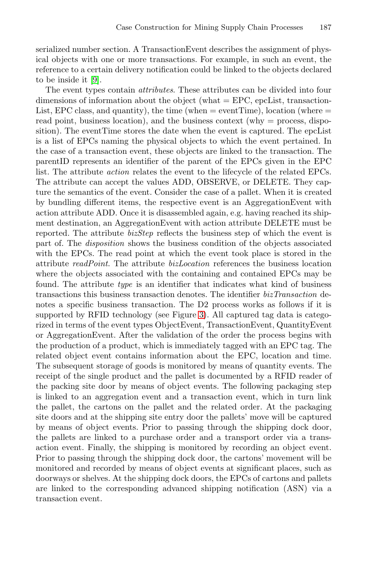serialized number section. A TransactionEvent describes the assignment of physical objects with one or more transactions. For example, in such an event, the reference to a certain delivery notification could be linked to the objects declared to be inside it [\[9\]](#page-10-8).

The event types contain *attributes*. These attributes can be divided into four dimensions of information about the object (what  $=$  EPC, epcList, transaction-List, EPC class, and quantity), the time (when  $=$  event Time), location (where  $=$ read point, business location), and the business context (why = process, disposition). The eventTime stores the date when the event is captured. The epcList is a list of EPCs naming the physical objects to which the event pertained. In the case of a transaction event, these objects are linked to the transaction. The parentID represents an identifier of the parent of the EPCs given in the EPC list. The attribute *action* relates the event to the lifecycle of the related EPCs. The attribute can accept the values ADD, OBSERVE, or DELETE. They capture the semantics of the event. Consider the case of a pallet. When it is created by bundling different items, the respective event is an AggregationEvent with action attribute ADD. Once it is disassembled again, e.g. having reached its shipment destination, an AggregationEvent with action attribute DELETE must be reported. The attribute *bizStep* reflects the business step of which the event is part of. The *disposition* shows the business condition of the objects associated with the EPCs. The read point at which the event took place is stored in the attribute *readPoint*. The attribute *bizLocation* references the business location where the objects associated with the containing and contained EPCs may be found. The attribute *type* is an identifier that indicates what kind of business transactions this business transaction denotes. The identifier *bizTransaction* denotes a specific business transaction. The D2 process works as follows if it is supported by RFID technology (see Figure [3\)](#page-7-1). All captured tag data is categorized in terms of the event types ObjectEvent, TransactionEvent, QuantityEvent or AggregationEvent. After the validation of the order the process begins with the production of a product, which is immediately tagged with an EPC tag. The related object event contains information about the EPC, location and time. The subsequent storage of goods is monitored by means of quantity events. The receipt of the single product and the pallet is documented by a RFID reader of the packing site door by means of object events. The following packaging step is linked to an aggregation event and a transaction event, which in turn link the pallet, the cartons on the pallet and the related order. At the packaging site doors and at the shipping site entry door the pallets' move will be captured by means of object events. Prior to passing through the shipping dock door, the pallets are linked to a purchase order and a transport order via a transaction event. Finally, the shipping is monitored by recording an object event. Prior to passing through the shipping dock door, the cartons' movement will be monitored and recorded by means of object events at significant places, such as doorways or shelves. At the shipping dock doors, the EPCs of cartons and pallets are linked to the corresponding advanced shipping notification (ASN) via a transaction event.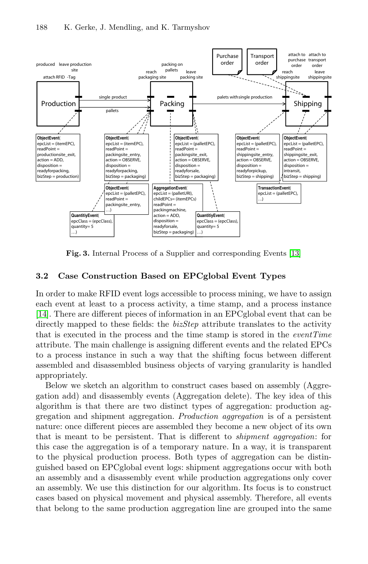

<span id="page-7-1"></span>**Fig. 3.** Internal Process of a Supplier and corresponding Events [\[13\]](#page-11-3)

#### <span id="page-7-0"></span>**3.2 Case Construction Based on EPCglobal Event Types**

In order to make RFID event logs accessible to process mining, we have to assign each event at least to a process activity, a time stamp, and a process instance [\[14\]](#page-11-4). There are different pieces of information in an EPCglobal event that can be directly mapped to these fields: the *bizStep* attribute translates to the activity that is executed in the process and the time stamp is stored in the *eventTime* attribute. The main challenge is assigning different events and the related EPCs to a process instance in such a way that the shifting focus between different assembled and disassembled business objects of varying granularity is handled appropriately.

Below we sketch an algorithm to construct cases based on assembly (Aggregation add) and disassembly events (Aggregation delete). The key idea of this algorithm is that there are two distinct types of aggregation: production aggregation and shipment aggregation. *Production aggregation* is of a persistent nature: once different pieces are assembled they become a new object of its own that is meant to be persistent. That is different to *shipment aggregation*: for this case the aggregation is of a temporary nature. In a way, it is transparent to the physical production process. Both types of aggregation can be distinguished based on EPCglobal event logs: shipment aggregations occur with both an assembly and a disassembly event while production aggregations only cover an assembly. We use this distinction for our algorithm. Its focus is to construct cases based on physical movement and physical assembly. Therefore, all events that belong to the same production aggregation line are grouped into the same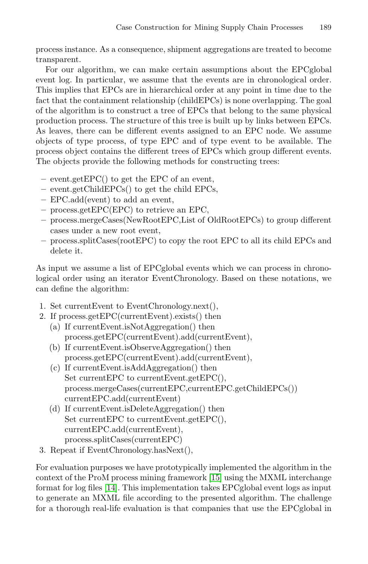process instance. As a consequence, shipment aggregations are treated to become transparent.

For our algorithm, we can make certain assumptions about the EPCglobal event log. In particular, we assume that the events are in chronological order. This implies that EPCs are in hierarchical order at any point in time due to the fact that the containment relationship (childEPCs) is none overlapping. The goal of the algorithm is to construct a tree of EPCs that belong to the same physical production process. The structure of this tree is built up by links between EPCs. As leaves, there can be different events assigned to an EPC node. We assume objects of type process, of type EPC and of type event to be available. The process object contains the different trees of EPCs which group different events. The objects provide the following methods for constructing trees:

- **–** event.getEPC() to get the EPC of an event,
- **–** event.getChildEPCs() to get the child EPCs,
- **–** EPC.add(event) to add an event,
- **–** process.getEPC(EPC) to retrieve an EPC,
- **–** process.mergeCases(NewRootEPC,List of OldRootEPCs) to group different cases under a new root event,
- **–** process.splitCases(rootEPC) to copy the root EPC to all its child EPCs and delete it.

As input we assume a list of EPCglobal events which we can process in chronological order using an iterator EventChronology. Based on these notations, we can define the algorithm:

- 1. Set currentEvent to EventChronology.next(),
- 2. If process.getEPC(currentEvent).exists() then
	- (a) If currentEvent.isNotAggregation() then process.getEPC(currentEvent).add(currentEvent),
	- (b) If currentEvent.isObserveAggregation() then process.getEPC(currentEvent).add(currentEvent),
	- (c) If currentEvent.isAddAggregation() then Set currentEPC to currentEvent.getEPC(), process.mergeCases(currentEPC,currentEPC.getChildEPCs()) currentEPC.add(currentEvent)
	- (d) If currentEvent.isDeleteAggregation() then Set currentEPC to currentEvent.getEPC(), currentEPC.add(currentEvent), process.splitCases(currentEPC)
- 3. Repeat if EventChronology.hasNext(),

For evaluation purposes we have prototypically implemented the algorithm in the context of the ProM process mining framework [\[15\]](#page-11-5) using the MXML interchange format for log files [\[14\]](#page-11-4). This implementation takes EPCglobal event logs as input to generate an MXML file according to the presented algorithm. The challenge for a thorough real-life evaluation is that companies that use the EPCglobal in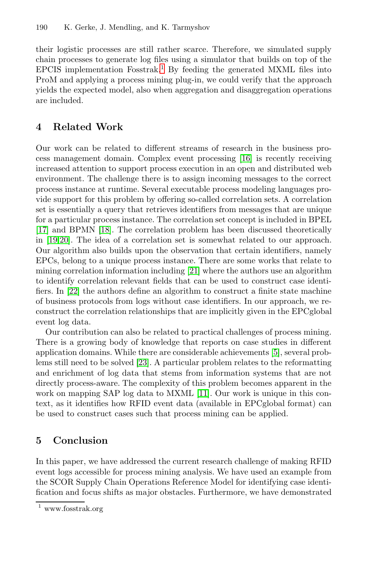their logistic processes are still rather scarce. Therefore, we simulated supply chain processes to generate log files using a simulator that builds on top of the EPCIS implementation Fosstrak.<sup>[1](#page-9-2)</sup> By feeding the generated MXML files into ProM and applying a process mining plug-in, we could verify that the approach yields the expected model, also when aggregation and disaggregation operations are included.

### <span id="page-9-0"></span>**4 Related Work**

Our work can be related to different streams of research in the business process management domain. Complex event processing [\[16\]](#page-11-6) is recently receiving increased attention to support process execution in an open and distributed web environment. The challenge there is to assign incoming messages to the correct process instance at runtime. Several executable process modeling languages provide support for this problem by offering so-called correlation sets. A correlation set is essentially a query that retrieves identifiers from messages that are unique for a particular process instance. The correlation set concept is included in BPEL [\[17\]](#page-11-7) and BPMN [\[18\]](#page-11-8). The correlation problem has been discussed theoretically in [\[19,](#page-11-9)[20\]](#page-11-10). The idea of a correlation set is somewhat related to our approach. Our algorithm also builds upon the observation that certain identifiers, namely EPCs, belong to a unique process instance. There are some works that relate to mining correlation information including [\[21\]](#page-11-11) where the authors use an algorithm to identify correlation relevant fields that can be used to construct case identifiers. In [\[22\]](#page-11-12) the authors define an algorithm to construct a finite state machine of business protocols from logs without case identifiers. In our approach, we reconstruct the correlation relationships that are implicitly given in the EPCglobal event log data.

Our contribution can also be related to practical challenges of process mining. There is a growing body of knowledge that reports on case studies in different application domains. While there are considerable achievements [\[5\]](#page-10-4), several problems still need to be solved [\[23\]](#page-11-13). A particular problem relates to the reformatting and enrichment of log data that stems from information systems that are not directly process-aware. The complexity of this problem becomes apparent in the work on mapping SAP log data to MXML [\[11\]](#page-11-1). Our work is unique in this context, as it identifies how RFID event data (available in EPCglobal format) can be used to construct cases such that process mining can be applied.

# <span id="page-9-1"></span>**5 Conclusion**

In this paper, we have addressed the current research challenge of making RFID event logs accessible for process mining analysis. We have used an example from the SCOR Supply Chain Operations Reference Model for identifying case identification and focus shifts as major obstacles. Furthermore, we have demonstrated

<span id="page-9-2"></span><sup>1</sup> www.fosstrak.org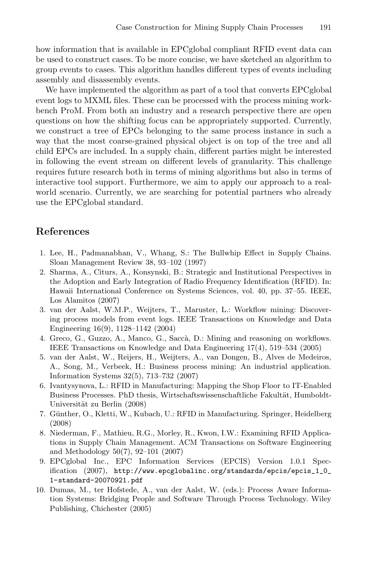how information that is available in EPCglobal compliant RFID event data can be used to construct cases. To be more concise, we have sketched an algorithm to group events to cases. This algorithm handles different types of events including assembly and disassembly events.

We have implemented the algorithm as part of a tool that converts EPCglobal event logs to MXML files. These can be processed with the process mining workbench ProM. From both an industry and a research perspective there are open questions on how the shifting focus can be appropriately supported. Currently, we construct a tree of EPCs belonging to the same process instance in such a way that the most coarse-grained physical object is on top of the tree and all child EPCs are included. In a supply chain, different parties might be interested in following the event stream on different levels of granularity. This challenge requires future research both in terms of mining algorithms but also in terms of interactive tool support. Furthermore, we aim to apply our approach to a realworld scenario. Currently, we are searching for potential partners who already use the EPCglobal standard.

### <span id="page-10-0"></span>**References**

- 1. Lee, H., Padmanabhan, V., Whang, S.: The Bullwhip Effect in Supply Chains. Sloan Management Review 38, 93–102 (1997)
- <span id="page-10-1"></span>2. Sharma, A., Citurs, A., Konsynski, B.: Strategic and Institutional Perspectives in the Adoption and Early Integration of Radio Frequency Identification (RFID). In: Hawaii International Conference on Systems Sciences, vol. 40, pp. 37–55. IEEE, Los Alamitos (2007)
- <span id="page-10-2"></span>3. van der Aalst, W.M.P., Weijters, T., Maruster, L.: Workflow mining: Discovering process models from event logs. IEEE Transactions on Knowledge and Data Engineering 16(9), 1128–1142 (2004)
- <span id="page-10-3"></span>4. Greco, G., Guzzo, A., Manco, G., Saccà, D.: Mining and reasoning on workflows. IEEE Transactions on Knowledge and Data Engineering 17(4), 519–534 (2005)
- <span id="page-10-4"></span>5. van der Aalst, W., Reijers, H., Weijters, A., van Dongen, B., Alves de Medeiros, A., Song, M., Verbeek, H.: Business process mining: An industrial application. Information Systems 32(5), 713–732 (2007)
- <span id="page-10-5"></span>6. Ivantysynova, L.: RFID in Manufacturing: Mapping the Shop Floor to IT-Enabled Business Processes. PhD thesis, Wirtschaftswissenschaftliche Fakultät, Humboldt-Universität zu Berlin (2008)
- <span id="page-10-6"></span>7. Günther, O., Kletti, W., Kubach, U.: RFID in Manufacturing. Springer, Heidelberg (2008)
- <span id="page-10-7"></span>8. Niederman, F., Mathieu, R.G., Morley, R., Kwon, I.W.: Examining RFID Applications in Supply Chain Management. ACM Transactions on Software Engineering and Methodology 50(7), 92–101 (2007)
- <span id="page-10-8"></span>9. EPCglobal Inc., EPC Information Services (EPCIS) Version 1.0.1 Specification (2007), [http://www.epcglobalinc.org/standards/epcis/epcis\\_1\\_0\\_](http://www.epcglobalinc.org/standards/epcis/epcis_1_0_1-standard-20070921.pdf) [1-standard-20070921.pdf](http://www.epcglobalinc.org/standards/epcis/epcis_1_0_1-standard-20070921.pdf)
- <span id="page-10-9"></span>10. Dumas, M., ter Hofstede, A., van der Aalst, W. (eds.): Process Aware Information Systems: Bridging People and Software Through Process Technology. Wiley Publishing, Chichester (2005)